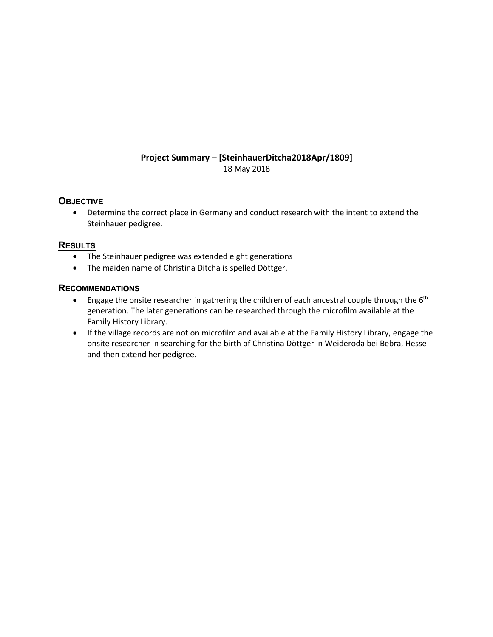### **Project Summary – [SteinhauerDitcha2018Apr/1809]** 18 May 2018

# **OBJECTIVE**

• Determine the correct place in Germany and conduct research with the intent to extend the Steinhauer pedigree.

# **RESULTS**

- The Steinhauer pedigree was extended eight generations
- The maiden name of Christina Ditcha is spelled Döttger.

### **RECOMMENDATIONS**

- Engage the onsite researcher in gathering the children of each ancestral couple through the  $6<sup>th</sup>$ generation. The later generations can be researched through the microfilm available at the Family History Library.
- If the village records are not on microfilm and available at the Family History Library, engage the onsite researcher in searching for the birth of Christina Döttger in Weideroda bei Bebra, Hesse and then extend her pedigree.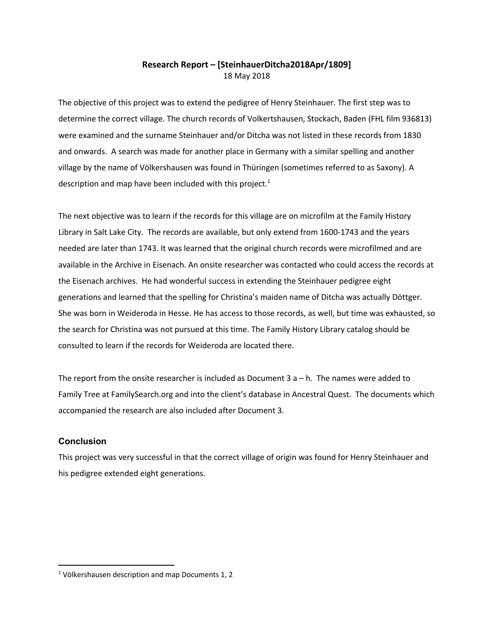# **Research Report – [SteinhauerDitcha2018Apr/1809]** 18 May 2018

The objective of this project was to extend the pedigree of Henry Steinhauer. The first step was to determine the correct village. The church records of Volkertshausen, Stockach, Baden (FHL film 936813) were examined and the surname Steinhauer and/or Ditcha was not listed in these records from 1830 and onwards. A search was made for another place in Germany with a similar spelling and another village by the name of Völkershausen was found in Thüringen (sometimes referred to as Saxony). A description and map have been included with this project.<sup>1</sup>

The next objective was to learn if the records for this village are on microfilm at the Family History Library in Salt Lake City. The records are available, but only extend from 1600-1743 and the years needed are later than 1743. It was learned that the original church records were microfilmed and are available in the Archive in Eisenach. An onsite researcher was contacted who could access the records at the Eisenach archives. He had wonderful success in extending the Steinhauer pedigree eight generations and learned that the spelling for Christina's maiden name of Ditcha was actually Döttger. She was born in Weideroda in Hesse. He has access to those records, as well, but time was exhausted, so the search for Christina was not pursued at this time. The Family History Library catalog should be consulted to learn if the records for Weideroda are located there.

The report from the onsite researcher is included as Document 3  $a - h$ . The names were added to Family Tree at FamilySearch.org and into the client's database in Ancestral Quest. The documents which accompanied the research are also included after Document 3.

#### **Conclusion**

This project was very successful in that the correct village of origin was found for Henry Steinhauer and his pedigree extended eight generations.

<sup>1</sup> Völkershausen description and map Documents 1, 2